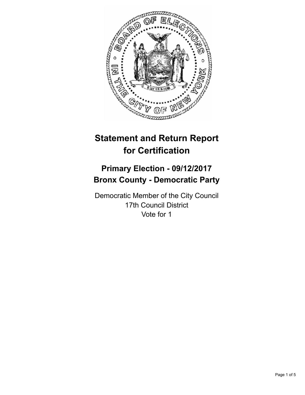

# **Statement and Return Report for Certification**

## **Primary Election - 09/12/2017 Bronx County - Democratic Party**

Democratic Member of the City Council 17th Council District Vote for 1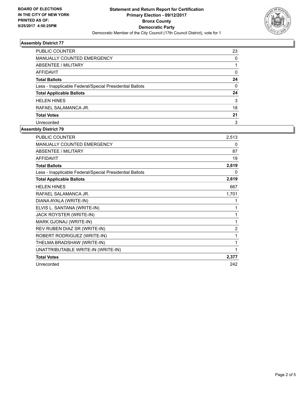

#### **Assembly District 77**

| <b>PUBLIC COUNTER</b>                                    | 23       |
|----------------------------------------------------------|----------|
| <b>MANUALLY COUNTED EMERGENCY</b>                        | 0        |
| ABSENTEE / MILITARY                                      |          |
| AFFIDAVIT                                                | 0        |
| <b>Total Ballots</b>                                     | 24       |
| Less - Inapplicable Federal/Special Presidential Ballots | $\Omega$ |
| <b>Total Applicable Ballots</b>                          | 24       |
| <b>HELEN HINES</b>                                       | 3        |
| RAFAEL SALAMANCA JR.                                     | 18       |
| <b>Total Votes</b>                                       | 21       |
| Unrecorded                                               | 3        |

### **Assembly District 79**

| <b>PUBLIC COUNTER</b>                                    | 2,513          |
|----------------------------------------------------------|----------------|
| <b>MANUALLY COUNTED EMERGENCY</b>                        | 0              |
| <b>ABSENTEE / MILITARY</b>                               | 87             |
| <b>AFFIDAVIT</b>                                         | 19             |
| <b>Total Ballots</b>                                     | 2,619          |
| Less - Inapplicable Federal/Special Presidential Ballots | 0              |
| <b>Total Applicable Ballots</b>                          | 2,619          |
| <b>HELEN HINES</b>                                       | 667            |
| RAFAEL SALAMANCA JR.                                     | 1,701          |
| DIANA AYALA (WRITE-IN)                                   | 1              |
| ELVIS L. SANTANA (WRITE-IN)                              | 1              |
| JACK ROYSTER (WRITE-IN)                                  | 1              |
| MARK GJONAJ (WRITE-IN)                                   | 1              |
| REV RUBEN DIAZ SR (WRITE-IN)                             | $\overline{2}$ |
| ROBERT RODRIGUEZ (WRITE-IN)                              | 1              |
| THELMA BRADSHAW (WRITE-IN)                               | 1              |
| UNATTRIBUTABLE WRITE-IN (WRITE-IN)                       | 1              |
| <b>Total Votes</b>                                       | 2,377          |
| Unrecorded                                               | 242            |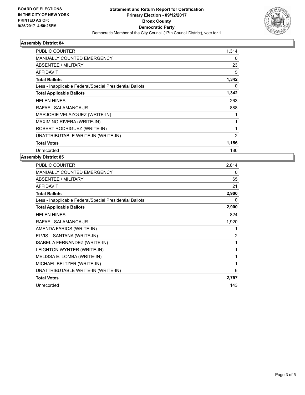

#### **Assembly District 84**

| PUBLIC COUNTER                                           | 1,314          |
|----------------------------------------------------------|----------------|
| <b>MANUALLY COUNTED EMERGENCY</b>                        | 0              |
| ABSENTEE / MILITARY                                      | 23             |
| <b>AFFIDAVIT</b>                                         | 5              |
| <b>Total Ballots</b>                                     | 1,342          |
| Less - Inapplicable Federal/Special Presidential Ballots | 0              |
| <b>Total Applicable Ballots</b>                          | 1,342          |
| <b>HELEN HINES</b>                                       | 263            |
| RAFAEL SALAMANCA JR.                                     | 888            |
| MARJORIE VELAZQUEZ (WRITE-IN)                            |                |
| MAXIMINO RIVERA (WRITE-IN)                               | 1              |
| ROBERT RODRIGUEZ (WRITE-IN)                              |                |
| UNATTRIBUTABLE WRITE-IN (WRITE-IN)                       | $\overline{2}$ |
| <b>Total Votes</b>                                       | 1,156          |
| Unrecorded                                               | 186            |

#### **Assembly District 85**

| <b>PUBLIC COUNTER</b>                                    | 2,814 |
|----------------------------------------------------------|-------|
| <b>MANUALLY COUNTED EMERGENCY</b>                        | 0     |
| ABSENTEE / MILITARY                                      | 65    |
| <b>AFFIDAVIT</b>                                         | 21    |
| <b>Total Ballots</b>                                     | 2,900 |
| Less - Inapplicable Federal/Special Presidential Ballots | 0     |
| <b>Total Applicable Ballots</b>                          | 2,900 |
| <b>HELEN HINES</b>                                       | 824   |
| RAFAEL SALAMANCA JR.                                     | 1,920 |
| AMENDA FARIOS (WRITE-IN)                                 | 1     |
| ELVIS L SANTANA (WRITE-IN)                               | 2     |
| ISABEL A FERNANDEZ (WRITE-IN)                            | 1     |
| LEIGHTON WYNTER (WRITE-IN)                               | 1     |
| MELISSA E. LOMBA (WRITE-IN)                              | 1     |
| MICHAEL BELTZER (WRITE-IN)                               | 1     |
| UNATTRIBUTABLE WRITE-IN (WRITE-IN)                       | 6     |
| <b>Total Votes</b>                                       | 2,757 |
| Unrecorded                                               | 143   |
|                                                          |       |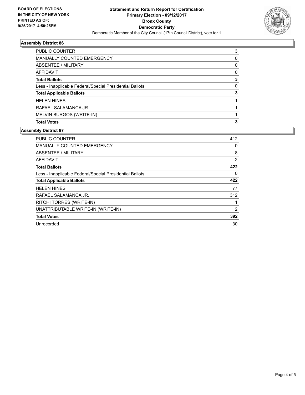

#### **Assembly District 86**

| <b>PUBLIC COUNTER</b>                                    | 3 |
|----------------------------------------------------------|---|
| <b>MANUALLY COUNTED EMERGENCY</b>                        | 0 |
| ABSENTEE / MILITARY                                      | 0 |
| AFFIDAVIT                                                | 0 |
| <b>Total Ballots</b>                                     | 3 |
| Less - Inapplicable Federal/Special Presidential Ballots | 0 |
| <b>Total Applicable Ballots</b>                          | 3 |
| <b>HELEN HINES</b>                                       |   |
| RAFAEL SALAMANCA JR.                                     |   |
| MELVIN BURGOS (WRITE-IN)                                 |   |
| <b>Total Votes</b>                                       | 3 |

#### **Assembly District 87**

| <b>PUBLIC COUNTER</b>                                    | 412 |
|----------------------------------------------------------|-----|
| <b>MANUALLY COUNTED EMERGENCY</b>                        | 0   |
| ABSENTEE / MILITARY                                      | 8   |
| <b>AFFIDAVIT</b>                                         | 2   |
| <b>Total Ballots</b>                                     | 422 |
| Less - Inapplicable Federal/Special Presidential Ballots | 0   |
| <b>Total Applicable Ballots</b>                          | 422 |
| <b>HELEN HINES</b>                                       | 77  |
| RAFAEL SALAMANCA JR.                                     | 312 |
| RITCHI TORRES (WRITE-IN)                                 |     |
| UNATTRIBUTABLE WRITE-IN (WRITE-IN)                       | 2   |
| <b>Total Votes</b>                                       | 392 |
| Unrecorded                                               | 30  |